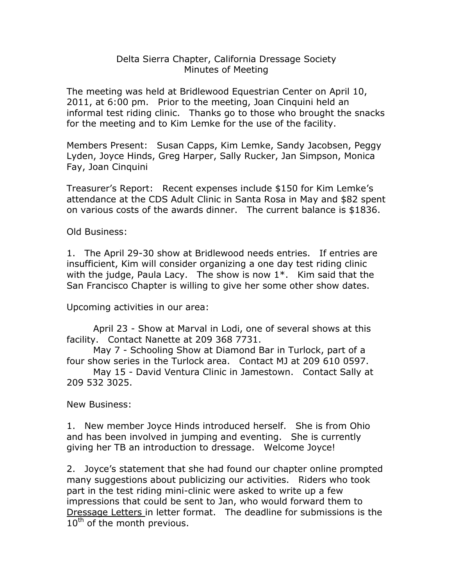## Delta Sierra Chapter, California Dressage Society Minutes of Meeting

The meeting was held at Bridlewood Equestrian Center on April 10, 2011, at 6:00 pm. Prior to the meeting, Joan Cinquini held an informal test riding clinic. Thanks go to those who brought the snacks for the meeting and to Kim Lemke for the use of the facility.

Members Present: Susan Capps, Kim Lemke, Sandy Jacobsen, Peggy Lyden, Joyce Hinds, Greg Harper, Sally Rucker, Jan Simpson, Monica Fay, Joan Cinquini

Treasurer's Report: Recent expenses include \$150 for Kim Lemke's attendance at the CDS Adult Clinic in Santa Rosa in May and \$82 spent on various costs of the awards dinner. The current balance is \$1836.

Old Business:

1. The April 29-30 show at Bridlewood needs entries. If entries are insufficient, Kim will consider organizing a one day test riding clinic with the judge, Paula Lacy. The show is now  $1^*$ . Kim said that the San Francisco Chapter is willing to give her some other show dates.

Upcoming activities in our area:

April 23 - Show at Marval in Lodi, one of several shows at this facility. Contact Nanette at 209 368 7731.

May 7 - Schooling Show at Diamond Bar in Turlock, part of a four show series in the Turlock area. Contact MJ at 209 610 0597.

May 15 - David Ventura Clinic in Jamestown. Contact Sally at 209 532 3025.

New Business:

1. New member Joyce Hinds introduced herself. She is from Ohio and has been involved in jumping and eventing. She is currently giving her TB an introduction to dressage. Welcome Joyce!

2. Joyce's statement that she had found our chapter online prompted many suggestions about publicizing our activities. Riders who took part in the test riding mini-clinic were asked to write up a few impressions that could be sent to Jan, who would forward them to Dressage Letters in letter format. The deadline for submissions is the  $10<sup>th</sup>$  of the month previous.